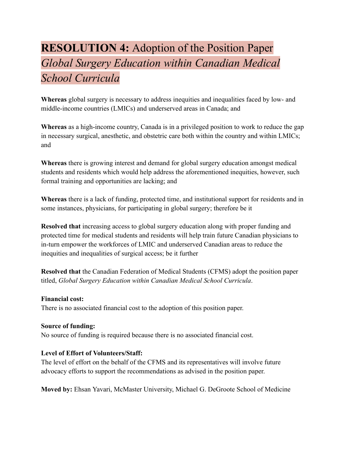## **RESOLUTION 4:** Adoption of the Position Paper *Global Surgery Education within Canadian Medical School Curricula*

**Whereas** global surgery is necessary to address inequities and inequalities faced by low- and middle-income countries (LMICs) and underserved areas in Canada; and

**Whereas** as a high-income country, Canada is in a privileged position to work to reduce the gap in necessary surgical, anesthetic, and obstetric care both within the country and within LMICs; and

**Whereas** there is growing interest and demand for global surgery education amongst medical students and residents which would help address the aforementioned inequities, however, such formal training and opportunities are lacking; and

**Whereas** there is a lack of funding, protected time, and institutional support for residents and in some instances, physicians, for participating in global surgery; therefore be it

**Resolved that** increasing access to global surgery education along with proper funding and protected time for medical students and residents will help train future Canadian physicians to in-turn empower the workforces of LMIC and underserved Canadian areas to reduce the inequities and inequalities of surgical access; be it further

**Resolved that** the Canadian Federation of Medical Students (CFMS) adopt the position paper titled, *Global Surgery Education within Canadian Medical School Curricula*.

## **Financial cost:**

There is no associated financial cost to the adoption of this position paper.

## **Source of funding:**

No source of funding is required because there is no associated financial cost.

## **Level of Effort of Volunteers/Staff:**

The level of effort on the behalf of the CFMS and its representatives will involve future advocacy efforts to support the recommendations as advised in the position paper.

**Moved by:** Ehsan Yavari, McMaster University, Michael G. DeGroote School of Medicine